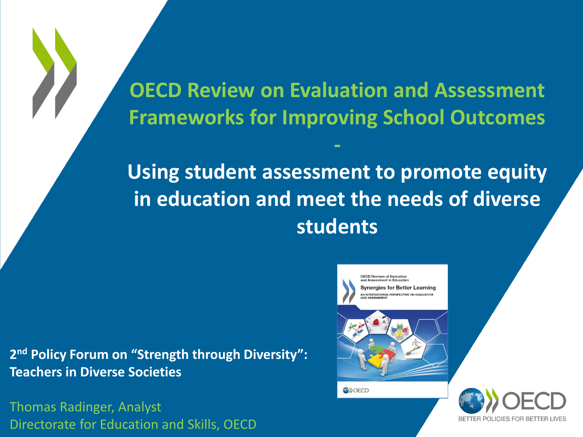**OECD Review on Evaluation and Assessment Frameworks for Improving School Outcomes**

**-**

**Using student assessment to promote equity in education and meet the needs of diverse students**

**2 nd Policy Forum on "Strength through Diversity": Teachers in Diverse Societies**

Thomas Radinger, Analyst Directorate for Education and Skills, OECD



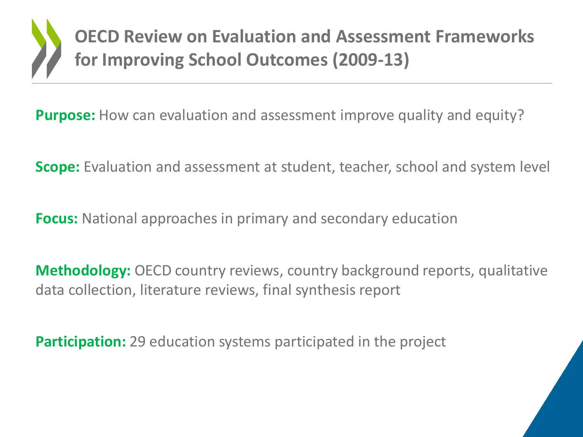**OECD Review on Evaluation and Assessment Frameworks for Improving School Outcomes (2009-13)**

**Purpose:** How can evaluation and assessment improve quality and equity?

**Scope:** Evaluation and assessment at student, teacher, school and system level

**Focus:** National approaches in primary and secondary education

**Methodology:** OECD country reviews, country background reports, qualitative data collection, literature reviews, final synthesis report

**Participation:** 29 education systems participated in the project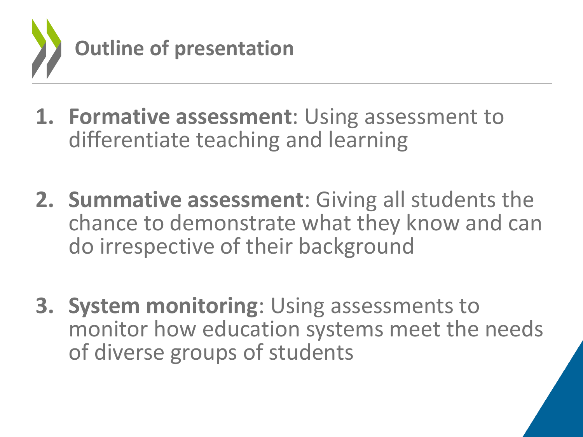

- **1. Formative assessment**: Using assessment to differentiate teaching and learning
- **2. Summative assessment**: Giving all students the chance to demonstrate what they know and can do irrespective of their background
- **3. System monitoring**: Using assessments to monitor how education systems meet the needs of diverse groups of students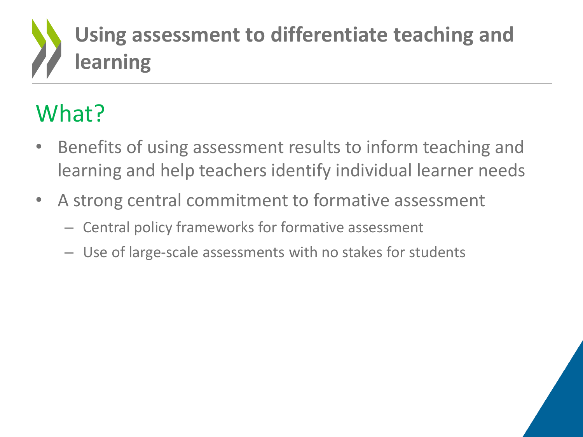## **Using assessment to differentiate teaching and learning**

## What?

- Benefits of using assessment results to inform teaching and learning and help teachers identify individual learner needs
- A strong central commitment to formative assessment
	- Central policy frameworks for formative assessment
	- Use of large-scale assessments with no stakes for students

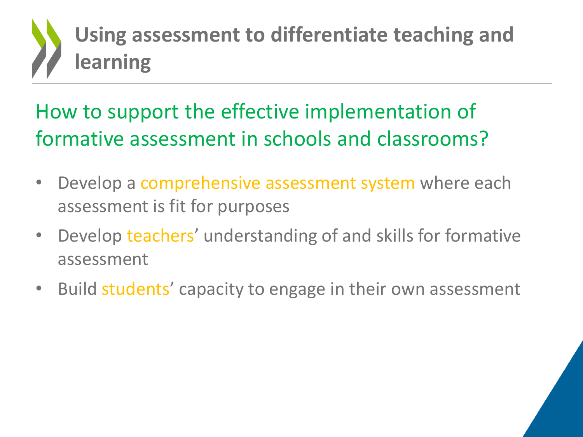

### How to support the effective implementation of formative assessment in schools and classrooms?

- Develop a comprehensive assessment system where each assessment is fit for purposes
- Develop teachers' understanding of and skills for formative assessment
- Build students' capacity to engage in their own assessment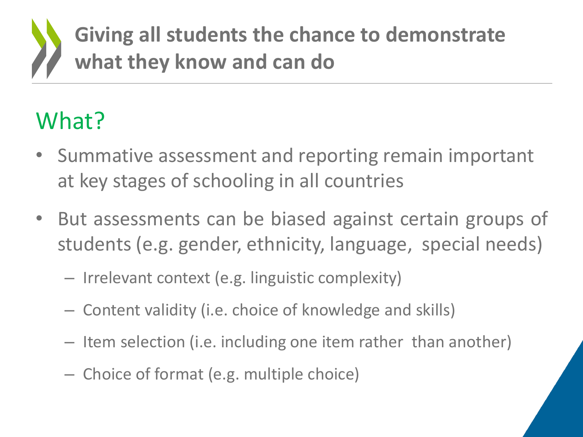## **Giving all students the chance to demonstrate what they know and can do**

## What?

- Summative assessment and reporting remain important at key stages of schooling in all countries
- But assessments can be biased against certain groups of students (e.g. gender, ethnicity, language, special needs)
	- Irrelevant context (e.g. linguistic complexity)
	- Content validity (i.e. choice of knowledge and skills)
	- Item selection (i.e. including one item rather than another)
	- Choice of format (e.g. multiple choice)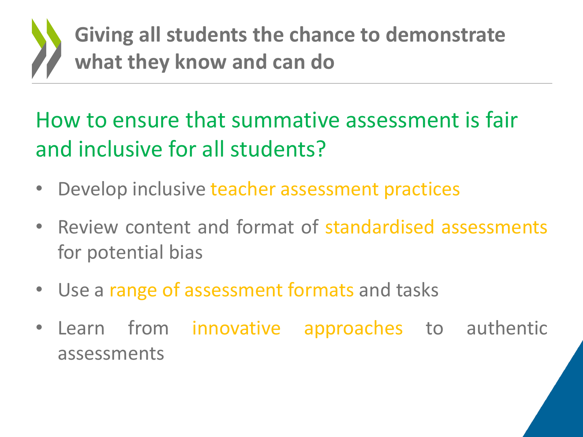

### How to ensure that summative assessment is fair and inclusive for all students?

- Develop inclusive teacher assessment practices
- Review content and format of standardised assessments for potential bias
- Use a range of assessment formats and tasks
- Learn from innovative approaches to authentic assessments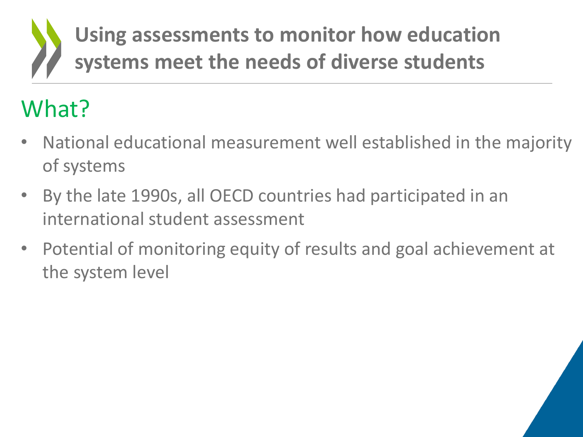## **Using assessments to monitor how education systems meet the needs of diverse students**

## What?

- National educational measurement well established in the majority of systems
- By the late 1990s, all OECD countries had participated in an international student assessment
- Potential of monitoring equity of results and goal achievement at the system level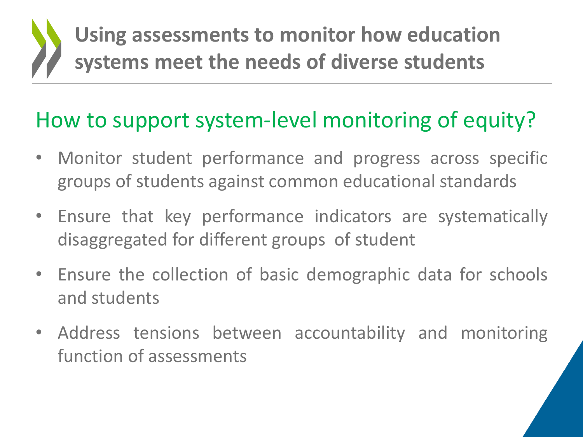## **Using assessments to monitor how education systems meet the needs of diverse students**

### How to support system-level monitoring of equity?

- Monitor student performance and progress across specific groups of students against common educational standards
- Ensure that key performance indicators are systematically disaggregated for different groups of student
- Ensure the collection of basic demographic data for schools and students
- Address tensions between accountability and monitoring function of assessments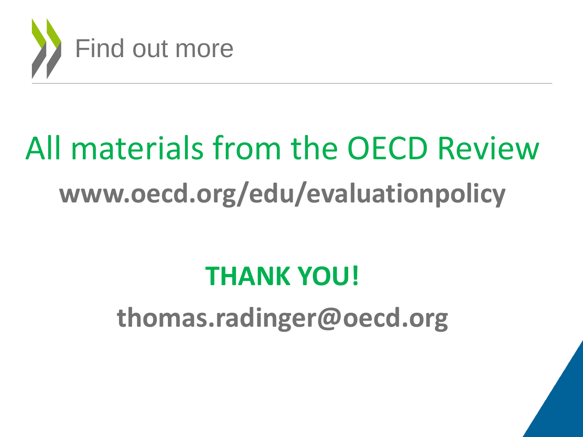

# All materials from the OECD Review **www.oecd.org/edu/evaluationpolicy**

## **THANK YOU!**

**thomas.radinger@oecd.org**

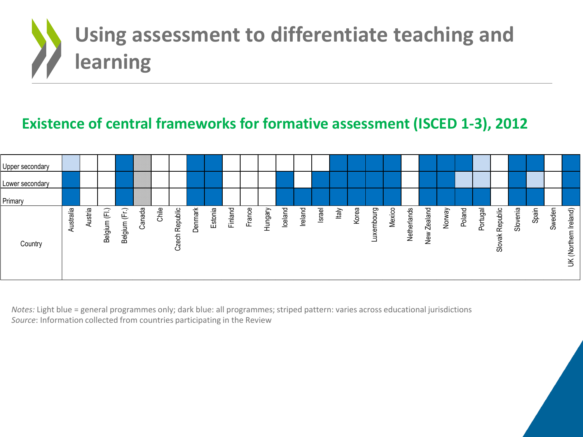

### **Existence of central frameworks for formative assessment (ISCED 1-3), 2012**



*Notes:* Light blue = general programmes only; dark blue: all programmes; striped pattern: varies across educational jurisdictions *Source*: Information collected from countries participating in the Review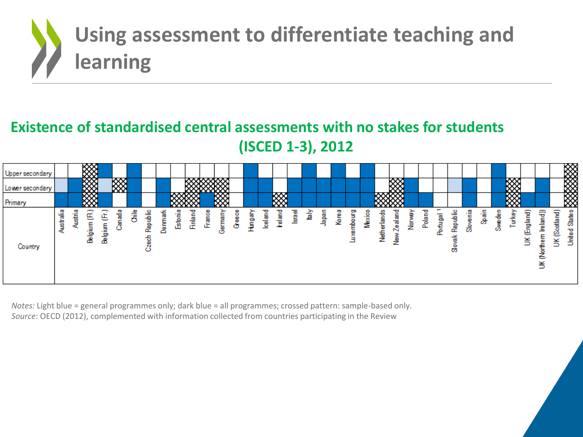

### **Existence of standardised central assessments with no stakes for students (ISCED 1-3), 2012**



*Notes:* Light blue = general programmes only; dark blue = all programmes; crossed pattern: sample-based only. *Source*: OECD (2012), complemented with information collected from countries participating in the Review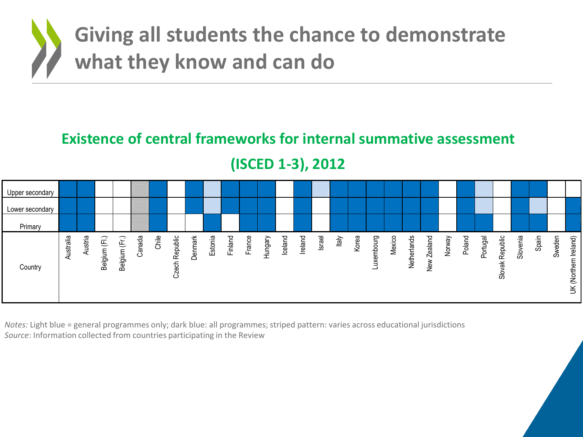

### **Existence of central frameworks for internal summative assessment**

**(ISCED 1-3), 2012**



*Notes:* Light blue = general programmes only; dark blue: all programmes; striped pattern: varies across educational jurisdictions *Source*: Information collected from countries participating in the Review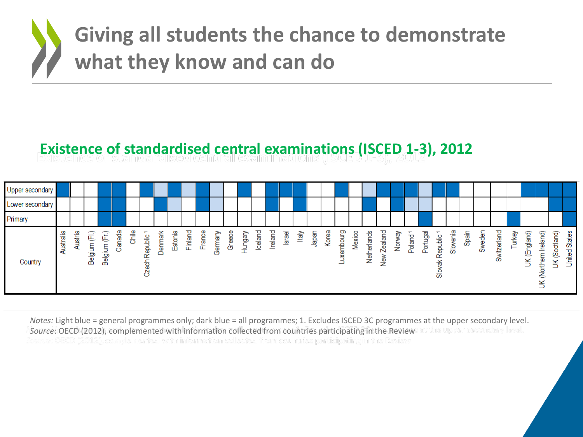

#### **Existence of standardised central examinations (ISCED 1-3), 2012**

| Upper secondary |         |        |              |              |                |       |                                                          |         |         |         |             |                 |            |                     |         |         |        |         |              |       |              |             |             |                               |        |             |          |                          |          |       |        |                 |        |                    |                           |                        |                  |
|-----------------|---------|--------|--------------|--------------|----------------|-------|----------------------------------------------------------|---------|---------|---------|-------------|-----------------|------------|---------------------|---------|---------|--------|---------|--------------|-------|--------------|-------------|-------------|-------------------------------|--------|-------------|----------|--------------------------|----------|-------|--------|-----------------|--------|--------------------|---------------------------|------------------------|------------------|
| Lower secondary |         |        |              |              |                |       |                                                          |         |         |         |             |                 |            |                     |         |         |        |         |              |       |              |             |             |                               |        |             |          |                          |          |       |        |                 |        |                    |                           |                        |                  |
| Primary         |         |        |              |              |                |       |                                                          |         |         |         |             |                 |            |                     |         |         |        |         |              |       |              |             |             |                               |        |             |          |                          |          |       |        |                 |        |                    |                           |                        |                  |
| Country         | stralia | ustria | €<br>Belgium | 匡<br>Belgium | nada<br>ल<br>Ō | Chile | $\overline{\phantom{a}}$<br>Republic<br><b>e</b> sf<br>Ñ | Denmark | Estonia | Finland | Ф<br>Franci | ⋗<br>ermar<br>৩ | Φ<br>Greec | Auebun <sub>t</sub> | lceland | Ireland | Israel | र्तिहो। | <b>Leder</b> | Korea | empourg<br>× | o<br>Mexico | Netherlands | <b>Zealand</b><br><b>Nely</b> | Norway | ÷<br>Poland | Portugal | ÷<br>epublic<br>œ<br>န္တ | Slovenia | Spain | Sweden | witzerland<br>Ô | Turkey | ingland)<br>щ<br>¥ | Ireland)<br>Northern<br>š | otland)<br>O<br>ഇ<br>¥ | States<br>United |

*Notes:* Light blue = general programmes only; dark blue = all programmes; 1. Excludes ISCED 3C programmes at the upper secondary level. *Source*: OECD (2012), complemented with information collected from countries participating in the Review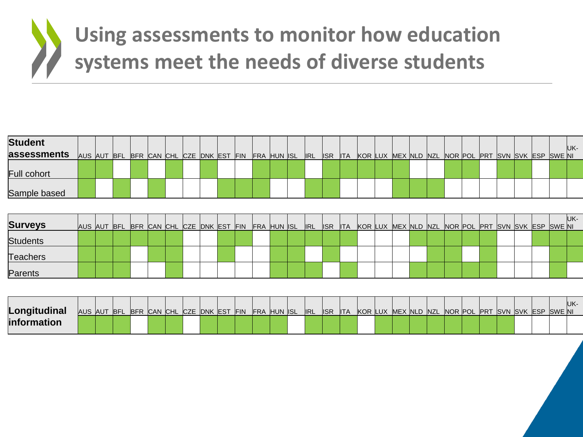

| <b>Student</b>  |  |  |  |                                                     |  |  |  |                |            |  |  |  |  |  |                                                    | UK- |
|-----------------|--|--|--|-----------------------------------------------------|--|--|--|----------------|------------|--|--|--|--|--|----------------------------------------------------|-----|
| assessments     |  |  |  | AUS AUT BFL BFR CAN CHL CZE DNK EST FIN FRA HUN ISL |  |  |  | $ RL $ $ SR$   | <b>ITA</b> |  |  |  |  |  | KOR LUX MEX NLD NZL NOR POL PRT SVN SVK ESP SWE NI |     |
| Full cohort     |  |  |  |                                                     |  |  |  |                |            |  |  |  |  |  |                                                    |     |
| Sample based    |  |  |  |                                                     |  |  |  |                |            |  |  |  |  |  |                                                    |     |
|                 |  |  |  |                                                     |  |  |  |                |            |  |  |  |  |  |                                                    |     |
| <b>Surveys</b>  |  |  |  | AUS AUT BFL BFR CAN CHL CZE DNK EST FIN FRA HUN ISL |  |  |  | <b>IRL</b> ISR | <b>ITA</b> |  |  |  |  |  | KOR LUX MEX NLD NZL NOR POL PRT SVN SVK ESP SWENI  | UK- |
| <b>Students</b> |  |  |  |                                                     |  |  |  |                |            |  |  |  |  |  |                                                    |     |
| <b>Teachers</b> |  |  |  |                                                     |  |  |  |                |            |  |  |  |  |  |                                                    |     |
| Parents         |  |  |  |                                                     |  |  |  |                |            |  |  |  |  |  |                                                    |     |
|                 |  |  |  |                                                     |  |  |  |                |            |  |  |  |  |  |                                                    |     |

| Longitudinal       |  |  |  |  |  | AUS AUT BFL BFR CAN CHL CZE DNK EST FIN FRA HUN ISL IRL |  |  |  |  |  |  |  |  | . IISR ITA KORILUX MEXINLD NZL NORIPOLIPRT ISVN ISVK IESP ISWEINI |  |
|--------------------|--|--|--|--|--|---------------------------------------------------------|--|--|--|--|--|--|--|--|-------------------------------------------------------------------|--|
| <b>information</b> |  |  |  |  |  |                                                         |  |  |  |  |  |  |  |  |                                                                   |  |